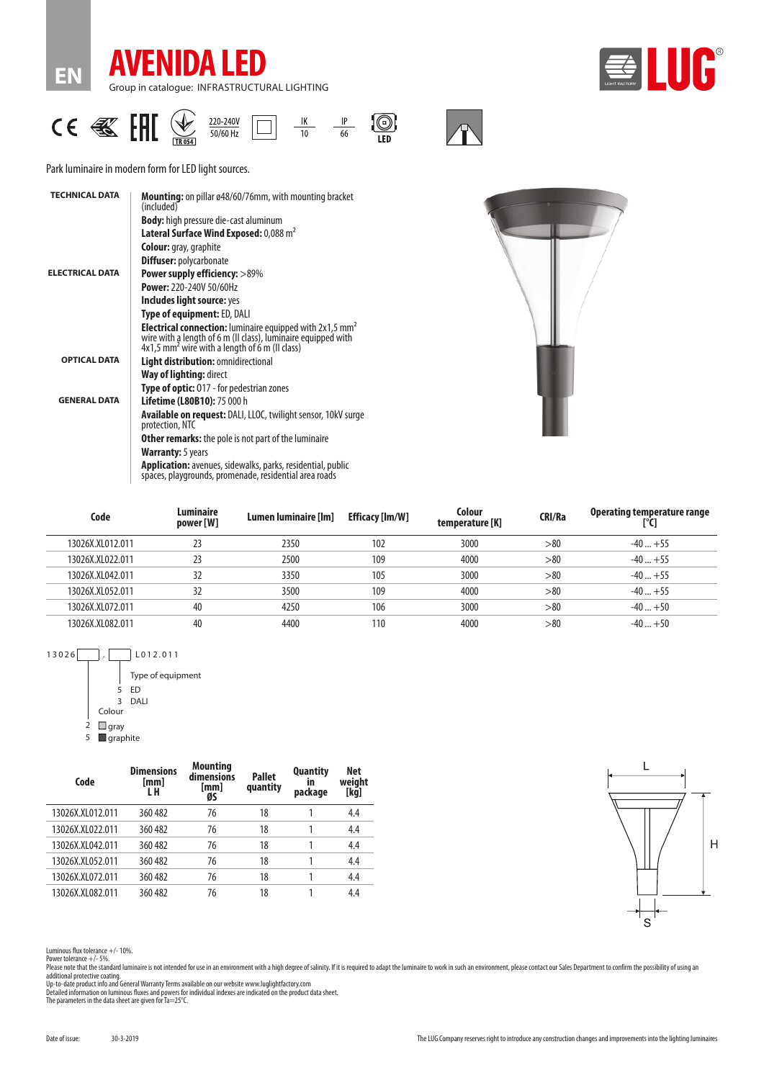





Park luminaire in modern form for LED light sources.

| <b>TECHNICAL DATA</b>  | <b>Mounting:</b> on pillar ø48/60/76mm, with mounting bracket<br>(included)                                                                                                                             |
|------------------------|---------------------------------------------------------------------------------------------------------------------------------------------------------------------------------------------------------|
|                        | <b>Body:</b> high pressure die-cast aluminum                                                                                                                                                            |
|                        | Lateral Surface Wind Exposed: 0,088 m <sup>2</sup>                                                                                                                                                      |
|                        | <b>Colour:</b> gray, graphite                                                                                                                                                                           |
|                        | <b>Diffuser: polycarbonate</b>                                                                                                                                                                          |
| <b>ELECTRICAL DATA</b> | <b>Power supply efficiency: &gt;89%</b>                                                                                                                                                                 |
|                        | <b>Power: 220-240V 50/60Hz</b>                                                                                                                                                                          |
|                        | Includes light source: yes                                                                                                                                                                              |
|                        | Type of equipment: ED, DALI                                                                                                                                                                             |
|                        | <b>Electrical connection:</b> luminaire equipped with 2x1,5 mm <sup>2</sup> wire with a length of 6 m (II class), luminaire equipped with<br>4x1,5 mm <sup>2</sup> wire with a length of 6 m (II class) |
| <b>OPTICAL DATA</b>    | Light distribution: omnidirectional                                                                                                                                                                     |
|                        | Way of lighting: direct                                                                                                                                                                                 |
|                        | <b>Type of optic: 017 - for pedestrian zones</b>                                                                                                                                                        |
| <b>GENERAL DATA</b>    | <b>Lifetime (L80B10): 75 000 h</b>                                                                                                                                                                      |
|                        | <b>Available on request: DALI, LLOC, twilight sensor, 10kV surge</b><br>protection, NTC                                                                                                                 |
|                        | <b>Other remarks:</b> the pole is not part of the luminaire                                                                                                                                             |
|                        | <b>Warranty:</b> 5 years                                                                                                                                                                                |
|                        | <b>Application:</b> avenues, sidewalks, parks, residential, public<br>spaces, playgrounds, promenade, residential area roads                                                                            |



| Code             | Luminaire<br>power [W] | Lumen luminaire [Im] | <b>Efficacy [Im/W]</b> | Colour<br>temperature [K] | <b>CRI/Ra</b> | Operating temperature range |
|------------------|------------------------|----------------------|------------------------|---------------------------|---------------|-----------------------------|
| 13026X.XL012.011 | 23                     | 2350                 | 102                    | 3000                      | > 80          | $-40+55$                    |
| 13026X.XL022.011 | 23                     | 2500                 | 109                    | 4000                      | > 80          | $-40+55$                    |
| 13026X.XL042.011 | 32                     | 3350                 | 105                    | 3000                      | > 80          | $-40+55$                    |
| 13026X.XL052.011 | 32                     | 3500                 | 109                    | 4000                      | > 80          | $-40+55$                    |
| 13026X.XL072.011 | 40                     | 4250                 | 106                    | 3000                      | > 80          | $-40+50$                    |
| 13026X.XL082.011 | 40                     | 4400                 | 110                    | 4000                      | > 80          | $-40+50$                    |
|                  |                        |                      |                        |                           |               |                             |

13026 . L012.011 Type of equipment  $5$  ED 3 DALI Colour  $\overline{2}$  **gray**  $5 \square$  graphite

| Code             | <b>Dimensions</b><br>[mm]<br>L H | <b>Mounting</b><br>dimensions<br>[mm]<br>ØS | <b>Pallet</b><br>quantity | <b>Quantity</b><br>ın<br>package | Net<br>weight<br>[kg] |
|------------------|----------------------------------|---------------------------------------------|---------------------------|----------------------------------|-----------------------|
| 13026X.XL012.011 | 360 482                          | 76                                          | 18                        |                                  | 4.4                   |
| 13026X.XL022.011 | 360 482                          | 76                                          | 18                        |                                  | 4.4                   |
| 13026X.XL042.011 | 360 482                          | 76                                          | 18                        |                                  | 4.4                   |
| 13026X.XL052.011 | 360 482                          | 76                                          | 18                        |                                  | 4.4                   |
| 13026X.XL072.011 | 360 482                          | 76                                          | 18                        |                                  | 4.4                   |
| 13026X.XL082.011 | 360 482                          | 76                                          | 18                        |                                  | 4.4                   |



Luminous flux tolerance +/- 10%.

Power tolerance +/- 5%.<br>Please note that the standard luminaire is not intended for use in an environment with a high degree of salinity. If it is required to adapt the luminaire to work in such an environment, please cont